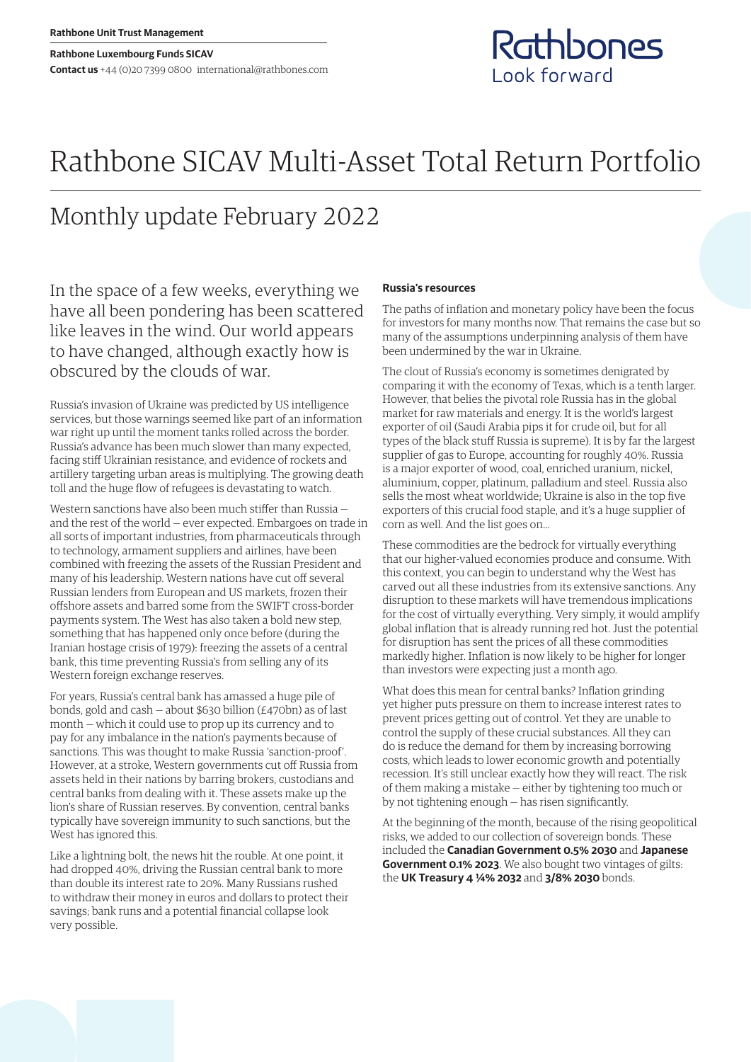# Rathbone SICAV Multi-Asset Total Return Portfolio

## Monthly update February 2022

In the space of a few weeks, everything we have all been pondering has been scattered like leaves in the wind. Our world appears to have changed, although exactly how is obscured by the clouds of war.

Russia's invasion of Ukraine was predicted by US intelligence services, but those warnings seemed like part of an information war right up until the moment tanks rolled across the border. Russia's advance has been much slower than many expected, facing stiff Ukrainian resistance, and evidence of rockets and artillery targeting urban areas is multiplying. The growing death toll and the huge flow of refugees is devastating to watch.

Western sanctions have also been much stiffer than Russia and the rest of the world — ever expected. Embargoes on trade in all sorts of important industries, from pharmaceuticals through to technology, armament suppliers and airlines, have been combined with freezing the assets of the Russian President and many of his leadership. Western nations have cut off several Russian lenders from European and US markets, frozen their offshore assets and barred some from the SWIFT cross-border payments system. The West has also taken a bold new step, something that has happened only once before (during the Iranian hostage crisis of 1979): freezing the assets of a central bank, this time preventing Russia's from selling any of its Western foreign exchange reserves.

For years, Russia's central bank has amassed a huge pile of bonds, gold and cash — about \$630 billion (£470bn) as of last month — which it could use to prop up its currency and to pay for any imbalance in the nation's payments because of sanctions. This was thought to make Russia 'sanction-proof'. However, at a stroke, Western governments cut off Russia from assets held in their nations by barring brokers, custodians and central banks from dealing with it. These assets make up the lion's share of Russian reserves. By convention, central banks typically have sovereign immunity to such sanctions, but the West has ignored this.

Like a lightning bolt, the news hit the rouble. At one point, it had dropped 40%, driving the Russian central bank to more than double its interest rate to 20%. Many Russians rushed to withdraw their money in euros and dollars to protect their savings; bank runs and a potential financial collapse look very possible.

### **Russia's resources**

The paths of inflation and monetary policy have been the focus for investors for many months now. That remains the case but so many of the assumptions underpinning analysis of them have been undermined by the war in Ukraine.

Rathbones

Look forward

The clout of Russia's economy is sometimes denigrated by comparing it with the economy of Texas, which is a tenth larger. However, that belies the pivotal role Russia has in the global market for raw materials and energy. It is the world's largest exporter of oil (Saudi Arabia pips it for crude oil, but for all types of the black stuff Russia is supreme). It is by far the largest supplier of gas to Europe, accounting for roughly 40%. Russia is a major exporter of wood, coal, enriched uranium, nickel, aluminium, copper, platinum, palladium and steel. Russia also sells the most wheat worldwide; Ukraine is also in the top five exporters of this crucial food staple, and it's a huge supplier of corn as well. And the list goes on…

These commodities are the bedrock for virtually everything that our higher-valued economies produce and consume. With this context, you can begin to understand why the West has carved out all these industries from its extensive sanctions. Any disruption to these markets will have tremendous implications for the cost of virtually everything. Very simply, it would amplify global inflation that is already running red hot. Just the potential for disruption has sent the prices of all these commodities markedly higher. Inflation is now likely to be higher for longer than investors were expecting just a month ago.

What does this mean for central banks? Inflation grinding yet higher puts pressure on them to increase interest rates to prevent prices getting out of control. Yet they are unable to control the supply of these crucial substances. All they can do is reduce the demand for them by increasing borrowing costs, which leads to lower economic growth and potentially recession. It's still unclear exactly how they will react. The risk of them making a mistake — either by tightening too much or by not tightening enough — has risen significantly.

At the beginning of the month, because of the rising geopolitical risks, we added to our collection of sovereign bonds. These included the **Canadian Government 0.5% 2030** and **Japanese Government 0.1% 2023**. We also bought two vintages of gilts: the **UK Treasury 4 ¼% 2032** and **3/8% 2030** bonds.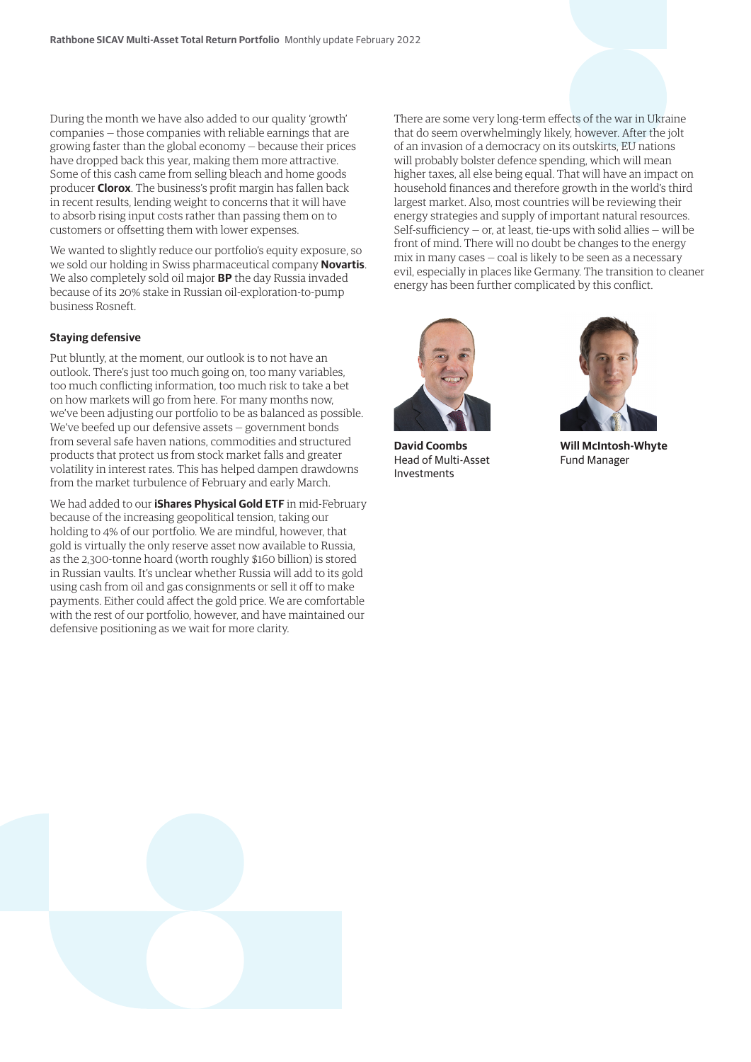During the month we have also added to our quality 'growth' companies — those companies with reliable earnings that are growing faster than the global economy — because their prices have dropped back this year, making them more attractive. Some of this cash came from selling bleach and home goods producer **Clorox**. The business's profit margin has fallen back in recent results, lending weight to concerns that it will have to absorb rising input costs rather than passing them on to customers or offsetting them with lower expenses.

We wanted to slightly reduce our portfolio's equity exposure, so we sold our holding in Swiss pharmaceutical company **Novartis**. We also completely sold oil major **BP** the day Russia invaded because of its 20% stake in Russian oil-exploration-to-pump business Rosneft.

#### **Staying defensive**

Put bluntly, at the moment, our outlook is to not have an outlook. There's just too much going on, too many variables, too much conflicting information, too much risk to take a bet on how markets will go from here. For many months now, we've been adjusting our portfolio to be as balanced as possible. We've beefed up our defensive assets — government bonds from several safe haven nations, commodities and structured products that protect us from stock market falls and greater volatility in interest rates. This has helped dampen drawdowns from the market turbulence of February and early March.

We had added to our **iShares Physical Gold ETF** in mid-February because of the increasing geopolitical tension, taking our holding to 4% of our portfolio. We are mindful, however, that gold is virtually the only reserve asset now available to Russia, as the 2,300-tonne hoard (worth roughly \$160 billion) is stored in Russian vaults. It's unclear whether Russia will add to its gold using cash from oil and gas consignments or sell it off to make payments. Either could affect the gold price. We are comfortable with the rest of our portfolio, however, and have maintained our defensive positioning as we wait for more clarity.

There are some very long-term effects of the war in Ukraine that do seem overwhelmingly likely, however. After the jolt of an invasion of a democracy on its outskirts, EU nations will probably bolster defence spending, which will mean higher taxes, all else being equal. That will have an impact on household finances and therefore growth in the world's third largest market. Also, most countries will be reviewing their energy strategies and supply of important natural resources. Self-sufficiency  $-$  or, at least, tie-ups with solid allies  $-$  will be front of mind. There will no doubt be changes to the energy mix in many cases — coal is likely to be seen as a necessary evil, especially in places like Germany. The transition to cleaner energy has been further complicated by this conflict.



**David Coombs** Head of Multi-Asset Investments



**Will McIntosh-Whyte** Fund Manager